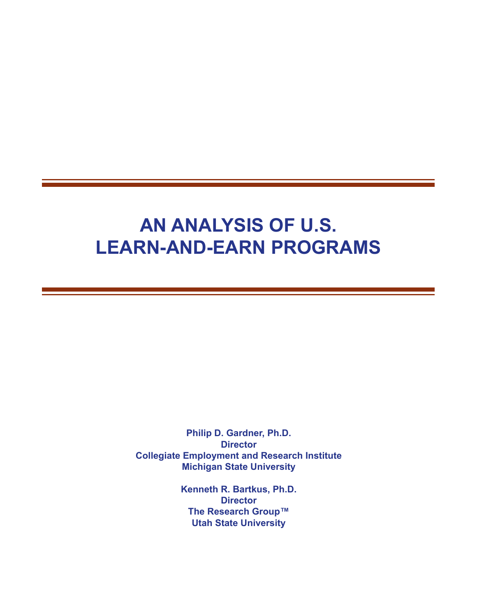## **AN ANALYSIS OF U.S. LEARN-AND-EARN PROGRAMS**

**Philip D. Gardner, Ph.D. Director Collegiate Employment and Research Institute Michigan State University**

> **Kenneth R. Bartkus, Ph.D. Director The Research Group™ Utah State University**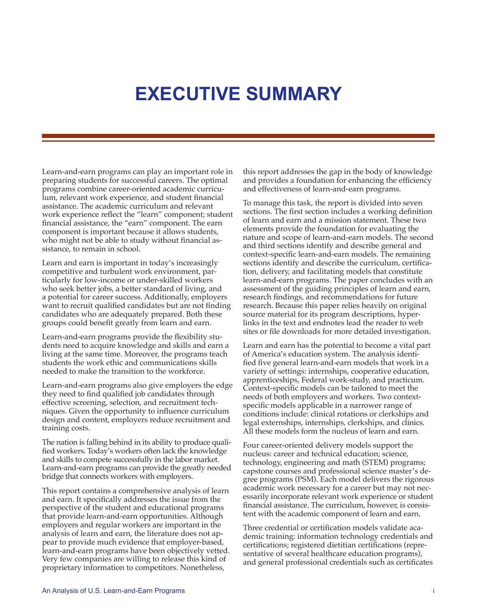## **EXECUTIVE SUMMARY**

Learn-and-earn programs can play an important role in preparing students for successful careers. The optimal programs combine career-oriented academic curriculum, relevant work experience, and student financial assistance. The academic curriculum and relevant work experience reflect the "learn" component; student financial assistance, the "earn" component. The earn component is important because it allows students, who might not be able to study without financial assistance, to remain in school.

Learn and earn is important in today's increasingly competitive and turbulent work environment, particularly for low-income or under-skilled workers who seek better jobs, a better standard of living, and a potential for career success. Additionally, employers want to recruit qualified candidates but are not finding candidates who are adequately prepared. Both these groups could benefit greatly from learn and earn.

Learn-and-earn programs provide the flexibility students need to acquire knowledge and skills and earn a living at the same time. Moreover, the programs teach students the work ethic and communications skills needed to make the transition to the workforce.

Learn-and-earn programs also give employers the edge they need to find qualified job candidates through effective screening, selection, and recruitment techniques. Given the opportunity to influence curriculum design and content, employers reduce recruitment and training costs.

The nation is falling behind in its ability to produce qualified workers. Today's workers often lack the knowledge and skills to compete successfully in the labor market. Learn-and-earn programs can provide the greatly needed bridge that connects workers with employers.

This report contains a comprehensive analysis of learn and earn. It specifically addresses the issue from the perspective of the student and educational programs that provide learn-and-earn opportunities. Although employers and regular workers are important in the analysis of learn and earn, the literature does not appear to provide much evidence that employer-based, learn-and-earn programs have been objectively vetted. Very few companies are willing to release this kind of proprietary information to competitors. Nonetheless,

this report addresses the gap in the body of knowledge and provides a foundation for enhancing the efficiency and effectiveness of learn-and-earn programs.

To manage this task, the report is divided into seven sections. The first section includes a working definition of learn and earn and a mission statement. These two elements provide the foundation for evaluating the nature and scope of learn-and-earn models. The second and third sections identify and describe general and context-specific learn-and-earn models. The remaining sections identify and describe the curriculum, certification, delivery, and facilitating models that constitute learn-and-earn programs. The paper concludes with an assessment of the guiding principles of learn and earn, research findings, and recommendations for future research. Because this paper relies heavily on original source material for its program descriptions, hyperlinks in the text and endnotes lead the reader to web sites or file downloads for more detailed investigation.

Learn and earn has the potential to become a vital part of America's education system. The analysis identified five general learn-and-earn models that work in a variety of settings: internships, cooperative education, apprenticeships, Federal work-study, and practicum. Context-specific models can be tailored to meet the needs of both employers and workers. Two contextspecific models applicable in a narrower range of conditions include: clinical rotations or clerkships and legal externships, internships, clerkships, and clinics. All these models form the nucleus of learn and earn.

Four career-oriented delivery models support the nucleus: career and technical education; science, technology, engineering and math (STEM) programs; capstone courses and professional science master's degree programs (PSM). Each model delivers the rigorous academic work necessary for a career but may not necessarily incorporate relevant work experience or student financial assistance. The curriculum, however, is consistent with the academic component of learn and earn.

Three credential or certification models validate academic training: information technology credentials and certifications; registered dietitian certifications (representative of several healthcare education programs), and general professional credentials such as certificates